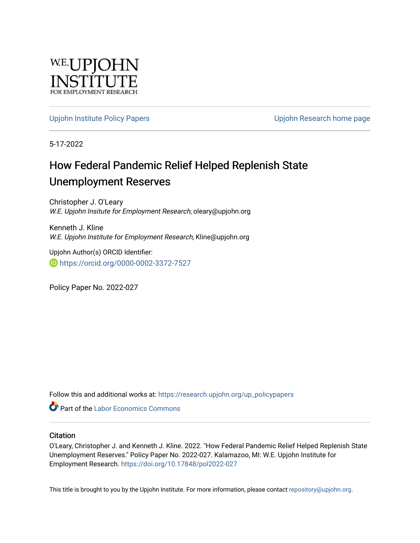

[Upjohn Institute Policy Papers](https://research.upjohn.org/up_policypapers) [Upjohn Research home page](https://research.upjohn.org/) 

5-17-2022

# How Federal Pandemic Relief Helped Replenish State Unemployment Reserves

Christopher J. O'Leary W.E. Upjohn Insitute for Employment Research, oleary@upjohn.org

Kenneth J. Kline W.E. Upjohn Institute for Employment Research, Kline@upjohn.org

Upjohn Author(s) ORCID Identifier: **b** https://orcid.org/0000-0002-3372-7527

Policy Paper No. 2022-027

Follow this and additional works at: [https://research.upjohn.org/up\\_policypapers](https://research.upjohn.org/up_policypapers?utm_source=research.upjohn.org%2Fup_policypapers%2F27&utm_medium=PDF&utm_campaign=PDFCoverPages)

**C** Part of the [Labor Economics Commons](https://network.bepress.com/hgg/discipline/349?utm_source=research.upjohn.org%2Fup_policypapers%2F27&utm_medium=PDF&utm_campaign=PDFCoverPages)

#### **Citation**

O'Leary, Christopher J. and Kenneth J. Kline. 2022. "How Federal Pandemic Relief Helped Replenish State Unemployment Reserves." Policy Paper No. 2022-027. Kalamazoo, MI: W.E. Upjohn Institute for Employment Research. <https://doi.org/10.17848/pol2022-027>

This title is brought to you by the Upjohn Institute. For more information, please contact [repository@upjohn.org](mailto:repository@upjohn.org).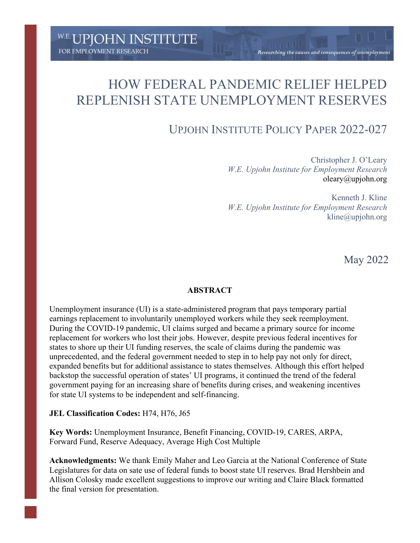# UPJOHN INSTITUTE POLICY PAPER 2022-027

Christopher J. O'Leary *W.E. Upjohn Institute for Employment Research* oleary@upjohn.org

Researching the causes and consequences of unemployment

Kenneth J. Kline *W.E. Upjohn Institute for Employment Research* kline@upjohn.org

May 2022

#### **ABSTRACT**

Unemployment insurance (UI) is a state-administered program that pays temporary partial earnings replacement to involuntarily unemployed workers while they seek reemployment. During the COVID-19 pandemic, UI claims surged and became a primary source for income replacement for workers who lost their jobs. However, despite previous federal incentives for states to shore up their UI funding reserves, the scale of claims during the pandemic was unprecedented, and the federal government needed to step in to help pay not only for direct, expanded benefits but for additional assistance to states themselves. Although this effort helped backstop the successful operation of states' UI programs, it continued the trend of the federal government paying for an increasing share of benefits during crises, and weakening incentives for state UI systems to be independent and self-financing.

#### **JEL Classification Codes:** H74, H76, J65

**Key Words:** Unemployment Insurance, Benefit Financing, COVID-19, CARES, ARPA, Forward Fund, Reserve Adequacy, Average High Cost Multiple

**Acknowledgments:** We thank Emily Maher and Leo Garcia at the National Conference of State Legislatures for data on sate use of federal funds to boost state UI reserves. Brad Hershbein and Allison Colosky made excellent suggestions to improve our writing and Claire Black formatted the final version for presentation.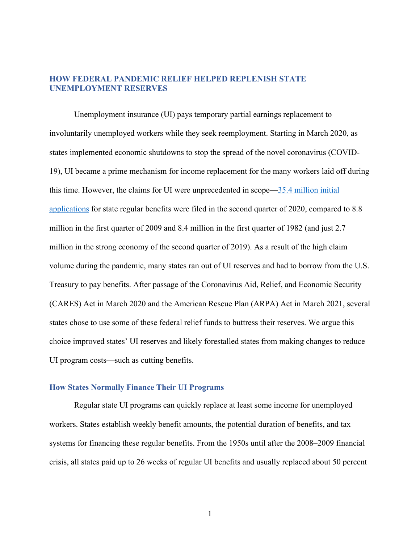### **HOW FEDERAL PANDEMIC RELIEF HELPED REPLENISH STATE UNEMPLOYMENT RESERVES**

Unemployment insurance (UI) pays temporary partial earnings replacement to involuntarily unemployed workers while they seek reemployment. Starting in March 2020, as states implemented economic shutdowns to stop the spread of the novel coronavirus (COVID-19), UI became a prime mechanism for income replacement for the many workers laid off during this time. However, the claims for UI were unprecedented in scope—35.4 million initial applications for state regular benefits were filed in the second quarter of 2020, compared to 8.8 million in the first quarter of 2009 and 8.4 million in the first quarter of 1982 (and just 2.7 million in the strong economy of the second quarter of 2019). As a result of the high claim volume during the pandemic, many states ran out of UI reserves and had to borrow from the U.S. Treasury to pay benefits. After passage of the Coronavirus Aid, Relief, and Economic Security (CARES) Act in March 2020 and the American Rescue Plan (ARPA) Act in March 2021, several states chose to use some of these federal relief funds to buttress their reserves. We argue this choice improved states' UI reserves and likely forestalled states from making changes to reduce UI program costs—such as cutting benefits.

#### **How States Normally Finance Their UI Programs**

Regular state UI programs can quickly replace at least some income for unemployed workers. States establish weekly benefit amounts, the potential duration of benefits, and tax systems for financing these regular benefits. From the 1950s until after the 2008–2009 financial crisis, all states paid up to 26 weeks of regular UI benefits and usually replaced about 50 percent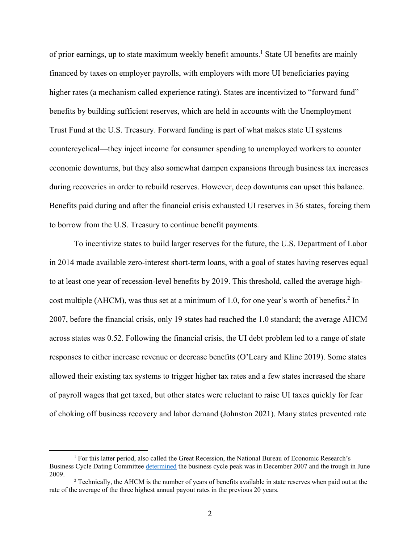of prior earnings, up to state maximum weekly benefit amounts.<sup>1</sup> State UI benefits are mainly financed by taxes on employer payrolls, with employers with more UI beneficiaries paying higher rates (a mechanism called experience rating). States are incentivized to "forward fund" benefits by building sufficient reserves, which are held in accounts with the Unemployment Trust Fund at the U.S. Treasury. Forward funding is part of what makes state UI systems countercyclical—they inject income for consumer spending to unemployed workers to counter economic downturns, but they also somewhat dampen expansions through business tax increases during recoveries in order to rebuild reserves. However, deep downturns can upset this balance. Benefits paid during and after the financial crisis exhausted UI reserves in 36 states, forcing them to borrow from the U.S. Treasury to continue benefit payments.

To incentivize states to build larger reserves for the future, the U.S. Department of Labor in 2014 made available zero-interest short-term loans, with a goal of states having reserves equal to at least one year of recession-level benefits by 2019. This threshold, called the average highcost multiple (AHCM), was thus set at a minimum of 1.0, for one year's worth of benefits.<sup>2</sup> In 2007, before the financial crisis, only 19 states had reached the 1.0 standard; the average AHCM across states was 0.52. Following the financial crisis, the UI debt problem led to a range of state responses to either increase revenue or decrease benefits (O'Leary and Kline 2019). Some states allowed their existing tax systems to trigger higher tax rates and a few states increased the share of payroll wages that get taxed, but other states were reluctant to raise UI taxes quickly for fear of choking off business recovery and labor demand (Johnston 2021). Many states prevented rate

<sup>&</sup>lt;sup>1</sup> For this latter period, also called the Great Recession, the National Bureau of Economic Research's Business Cycle Dating Committee determined the business cycle peak was in December 2007 and the trough in June 2009. 2

<sup>&</sup>lt;sup>2</sup> Technically, the AHCM is the number of years of benefits available in state reserves when paid out at the rate of the average of the three highest annual payout rates in the previous 20 years.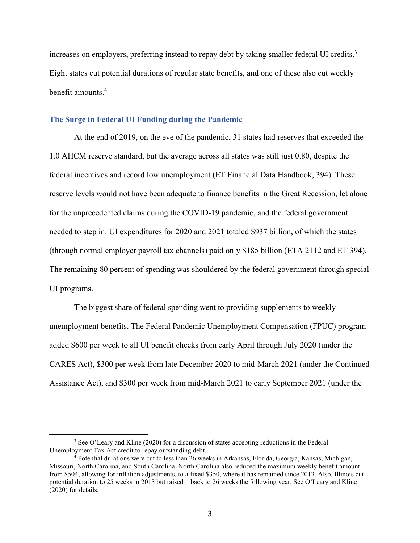increases on employers, preferring instead to repay debt by taking smaller federal UI credits.<sup>3</sup> Eight states cut potential durations of regular state benefits, and one of these also cut weekly benefit amounts.<sup>4</sup>

#### **The Surge in Federal UI Funding during the Pandemic**

At the end of 2019, on the eve of the pandemic, 31 states had reserves that exceeded the 1.0 AHCM reserve standard, but the average across all states was still just 0.80, despite the federal incentives and record low unemployment (ET Financial Data Handbook, 394). These reserve levels would not have been adequate to finance benefits in the Great Recession, let alone for the unprecedented claims during the COVID-19 pandemic, and the federal government needed to step in. UI expenditures for 2020 and 2021 totaled \$937 billion, of which the states (through normal employer payroll tax channels) paid only \$185 billion (ETA 2112 and ET 394). The remaining 80 percent of spending was shouldered by the federal government through special UI programs.

The biggest share of federal spending went to providing supplements to weekly unemployment benefits. The Federal Pandemic Unemployment Compensation (FPUC) program added \$600 per week to all UI benefit checks from early April through July 2020 (under the CARES Act), \$300 per week from late December 2020 to mid-March 2021 (under the Continued Assistance Act), and \$300 per week from mid-March 2021 to early September 2021 (under the

 $3$  See O'Leary and Kline (2020) for a discussion of states accepting reductions in the Federal Unemployment Tax Act credit to repay outstanding debt. 4

Potential durations were cut to less than 26 weeks in Arkansas, Florida, Georgia, Kansas, Michigan, Missouri, North Carolina, and South Carolina. North Carolina also reduced the maximum weekly benefit amount from \$504, allowing for inflation adjustments, to a fixed \$350, where it has remained since 2013. Also, Illinois cut potential duration to 25 weeks in 2013 but raised it back to 26 weeks the following year. See O'Leary and Kline (2020) for details.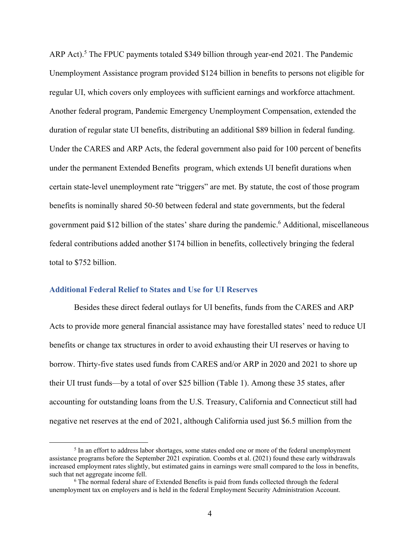ARP Act).<sup>5</sup> The FPUC payments totaled \$349 billion through year-end 2021. The Pandemic Unemployment Assistance program provided \$124 billion in benefits to persons not eligible for regular UI, which covers only employees with sufficient earnings and workforce attachment. Another federal program, Pandemic Emergency Unemployment Compensation, extended the duration of regular state UI benefits, distributing an additional \$89 billion in federal funding. Under the CARES and ARP Acts, the federal government also paid for 100 percent of benefits under the permanent Extended Benefits program, which extends UI benefit durations when certain state-level unemployment rate "triggers" are met. By statute, the cost of those program benefits is nominally shared 50-50 between federal and state governments, but the federal government paid \$12 billion of the states' share during the pandemic.<sup>6</sup> Additional, miscellaneous federal contributions added another \$174 billion in benefits, collectively bringing the federal total to \$752 billion.

#### **Additional Federal Relief to States and Use for UI Reserves**

Besides these direct federal outlays for UI benefits, funds from the CARES and ARP Acts to provide more general financial assistance may have forestalled states' need to reduce UI benefits or change tax structures in order to avoid exhausting their UI reserves or having to borrow. Thirty-five states used funds from CARES and/or ARP in 2020 and 2021 to shore up their UI trust funds—by a total of over \$25 billion (Table 1). Among these 35 states, after accounting for outstanding loans from the U.S. Treasury, California and Connecticut still had negative net reserves at the end of 2021, although California used just \$6.5 million from the

<sup>&</sup>lt;sup>5</sup> In an effort to address labor shortages, some states ended one or more of the federal unemployment assistance programs before the September 2021 expiration. Coombs et al. (2021) found these early withdrawals increased employment rates slightly, but estimated gains in earnings were small compared to the loss in benefits, such that net aggregate income fell.

 $6$  The normal federal share of Extended Benefits is paid from funds collected through the federal unemployment tax on employers and is held in the federal Employment Security Administration Account.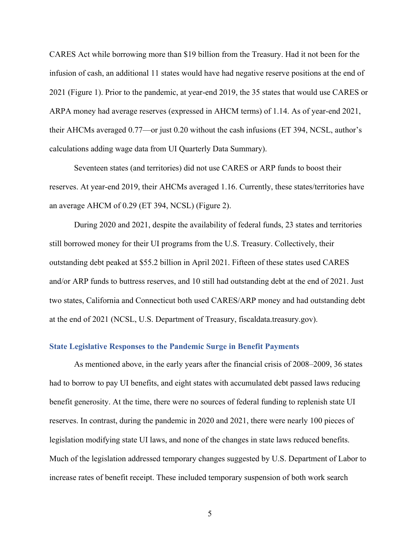CARES Act while borrowing more than \$19 billion from the Treasury. Had it not been for the infusion of cash, an additional 11 states would have had negative reserve positions at the end of 2021 (Figure 1). Prior to the pandemic, at year-end 2019, the 35 states that would use CARES or ARPA money had average reserves (expressed in AHCM terms) of 1.14. As of year-end 2021, their AHCMs averaged 0.77—or just 0.20 without the cash infusions (ET 394, NCSL, author's calculations adding wage data from UI Quarterly Data Summary).

Seventeen states (and territories) did not use CARES or ARP funds to boost their reserves. At year-end 2019, their AHCMs averaged 1.16. Currently, these states/territories have an average AHCM of 0.29 (ET 394, NCSL) (Figure 2).

During 2020 and 2021, despite the availability of federal funds, 23 states and territories still borrowed money for their UI programs from the U.S. Treasury. Collectively, their outstanding debt peaked at \$55.2 billion in April 2021. Fifteen of these states used CARES and/or ARP funds to buttress reserves, and 10 still had outstanding debt at the end of 2021. Just two states, California and Connecticut both used CARES/ARP money and had outstanding debt at the end of 2021 (NCSL, U.S. Department of Treasury, fiscaldata.treasury.gov).

#### **State Legislative Responses to the Pandemic Surge in Benefit Payments**

As mentioned above, in the early years after the financial crisis of 2008–2009, 36 states had to borrow to pay UI benefits, and eight states with accumulated debt passed laws reducing benefit generosity. At the time, there were no sources of federal funding to replenish state UI reserves. In contrast, during the pandemic in 2020 and 2021, there were nearly 100 pieces of legislation modifying state UI laws, and none of the changes in state laws reduced benefits. Much of the legislation addressed temporary changes suggested by U.S. Department of Labor to increase rates of benefit receipt. These included temporary suspension of both work search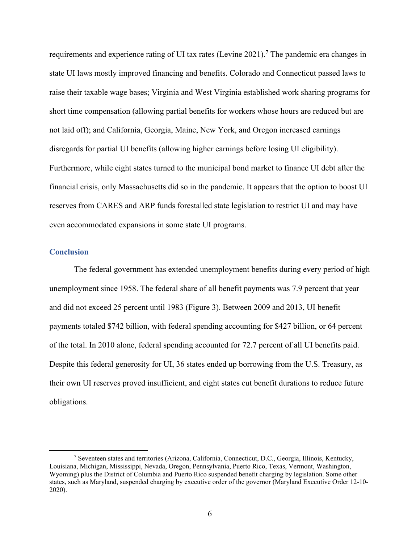requirements and experience rating of UI tax rates (Levine 2021).<sup>7</sup> The pandemic era changes in state UI laws mostly improved financing and benefits. Colorado and Connecticut passed laws to raise their taxable wage bases; Virginia and West Virginia established work sharing programs for short time compensation (allowing partial benefits for workers whose hours are reduced but are not laid off); and California, Georgia, Maine, New York, and Oregon increased earnings disregards for partial UI benefits (allowing higher earnings before losing UI eligibility). Furthermore, while eight states turned to the municipal bond market to finance UI debt after the financial crisis, only Massachusetts did so in the pandemic. It appears that the option to boost UI reserves from CARES and ARP funds forestalled state legislation to restrict UI and may have even accommodated expansions in some state UI programs.

#### **Conclusion**

The federal government has extended unemployment benefits during every period of high unemployment since 1958. The federal share of all benefit payments was 7.9 percent that year and did not exceed 25 percent until 1983 (Figure 3). Between 2009 and 2013, UI benefit payments totaled \$742 billion, with federal spending accounting for \$427 billion, or 64 percent of the total. In 2010 alone, federal spending accounted for 72.7 percent of all UI benefits paid. Despite this federal generosity for UI, 36 states ended up borrowing from the U.S. Treasury, as their own UI reserves proved insufficient, and eight states cut benefit durations to reduce future obligations.

<sup>7</sup> Seventeen states and territories (Arizona, California, Connecticut, D.C., Georgia, Illinois, Kentucky, Louisiana, Michigan, Mississippi, Nevada, Oregon, Pennsylvania, Puerto Rico, Texas, Vermont, Washington, Wyoming) plus the District of Columbia and Puerto Rico suspended benefit charging by legislation. Some other states, such as Maryland, suspended charging by executive order of the governor (Maryland Executive Order 12-10- 2020).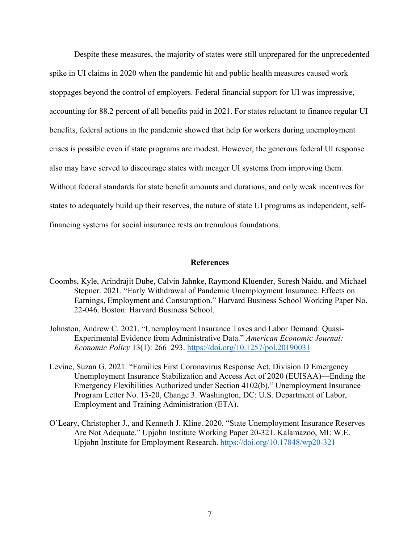Despite these measures, the majority of states were still unprepared for the unprecedented spike in UI claims in 2020 when the pandemic hit and public health measures caused work stoppages beyond the control of employers. Federal financial support for UI was impressive, accounting for 88.2 percent of all benefits paid in 2021. For states reluctant to finance regular UI benefits, federal actions in the pandemic showed that help for workers during unemployment crises is possible even if state programs are modest. However, the generous federal UI response also may have served to discourage states with meager UI systems from improving them. Without federal standards for state benefit amounts and durations, and only weak incentives for states to adequately build up their reserves, the nature of state UI programs as independent, selffinancing systems for social insurance rests on tremulous foundations.

#### **References**

- Coombs, Kyle, Arindrajit Dube, Calvin Jahnke, Raymond Kluender, Suresh Naidu, and Michael Stepner. 2021. "Early Withdrawal of Pandemic Unemployment Insurance: Effects on Earnings, Employment and Consumption." Harvard Business School Working Paper No. 22-046. Boston: Harvard Business School.
- Johnston, Andrew C. 2021. "Unemployment Insurance Taxes and Labor Demand: Quasi-Experimental Evidence from Administrative Data." *American Economic Journal: Economic Policy* 13(1): 266–293. https://doi.org/10.1257/pol.20190031
- Levine, Suzan G. 2021. "Families First Coronavirus Response Act, Division D Emergency Unemployment Insurance Stabilization and Access Act of 2020 (EUISAA)—Ending the Emergency Flexibilities Authorized under Section 4102(b)." Unemployment Insurance Program Letter No. 13-20, Change 3. Washington, DC: U.S. Department of Labor, Employment and Training Administration (ETA).
- O'Leary, Christopher J., and Kenneth J. Kline. 2020. "State Unemployment Insurance Reserves Are Not Adequate." Upjohn Institute Working Paper 20-321. Kalamazoo, MI: W.E. Upjohn Institute for Employment Research. https://doi.org/10.17848/wp20-321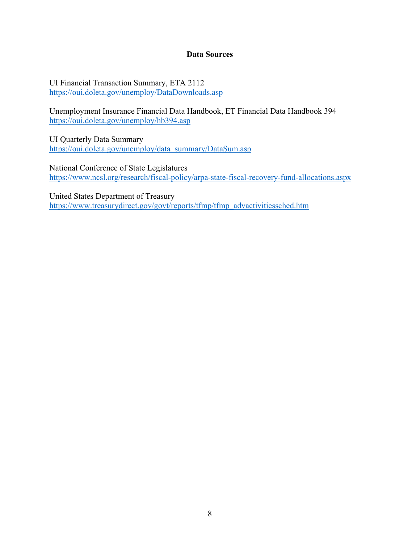#### **Data Sources**

UI Financial Transaction Summary, ETA 2112 https://oui.doleta.gov/unemploy/DataDownloads.asp

Unemployment Insurance Financial Data Handbook, ET Financial Data Handbook 394 https://oui.doleta.gov/unemploy/hb394.asp

UI Quarterly Data Summary https://oui.doleta.gov/unemploy/data\_summary/DataSum.asp

National Conference of State Legislatures https://www.ncsl.org/research/fiscal-policy/arpa-state-fiscal-recovery-fund-allocations.aspx

United States Department of Treasury https://www.treasurydirect.gov/govt/reports/tfmp/tfmp\_advactivitiessched.htm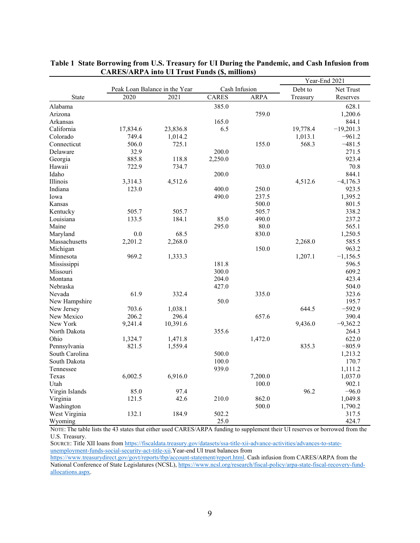|                |                               |          |               |             | Year-End 2021 |             |
|----------------|-------------------------------|----------|---------------|-------------|---------------|-------------|
|                | Peak Loan Balance in the Year |          | Cash Infusion |             | Debt to       | Net Trust   |
| State          | 2020                          | 2021     | <b>CARES</b>  | <b>ARPA</b> | Treasury      | Reserves    |
| Alabama        |                               |          | 385.0         |             |               | 628.1       |
| Arizona        |                               |          |               | 759.0       |               | 1,200.6     |
| Arkansas       |                               |          | 165.0         |             |               | 844.1       |
| California     | 17,834.6                      | 23,836.8 | 6.5           |             | 19,778.4      | $-19,201.3$ |
| Colorado       | 749.4                         | 1,014.2  |               |             | 1,013.1       | $-961.2$    |
| Connecticut    | 506.0                         | 725.1    |               | 155.0       | 568.3         | $-481.5$    |
| Delaware       | 32.9                          |          | 200.0         |             |               | 271.5       |
| Georgia        | 885.8                         | 118.8    | 2,250.0       |             |               | 923.4       |
| Hawaii         | 722.9                         | 734.7    |               | 703.0       |               | 70.8        |
| Idaho          |                               |          | 200.0         |             |               | 844.1       |
| Illinois       | 3,314.3                       | 4,512.6  |               |             | 4,512.6       | $-4,176.3$  |
| Indiana        | 123.0                         |          | 400.0         | 250.0       |               | 923.5       |
| Iowa           |                               |          | 490.0         | 237.5       |               | 1,395.2     |
| Kansas         |                               |          |               | 500.0       |               | 801.5       |
| Kentucky       | 505.7                         | 505.7    |               | 505.7       |               | 338.2       |
| Louisiana      | 133.5                         | 184.1    | 85.0          | 490.0       |               | 237.2       |
| Maine          |                               |          | 295.0         | 80.0        |               | 565.1       |
|                | 0.0                           | 68.5     |               | 830.0       |               |             |
| Maryland       |                               |          |               |             |               | 1,250.5     |
| Massachusetts  | 2,201.2                       | 2,268.0  |               |             | 2,268.0       | 585.5       |
| Michigan       |                               |          |               | 150.0       |               | 963.2       |
| Minnesota      | 969.2                         | 1,333.3  |               |             | 1,207.1       | $-1,156.5$  |
| Mississippi    |                               |          | 181.8         |             |               | 596.5       |
| Missouri       |                               |          | 300.0         |             |               | 609.2       |
| Montana        |                               |          | 204.0         |             |               | 423.4       |
| Nebraska       |                               |          | 427.0         |             |               | 504.0       |
| Nevada         | 61.9                          | 332.4    |               | 335.0       |               | 323.6       |
| New Hampshire  |                               |          | 50.0          |             |               | 195.7       |
| New Jersey     | 703.6                         | 1,038.1  |               |             | 644.5         | $-592.9$    |
| New Mexico     | 206.2                         | 296.4    |               | 657.6       |               | 390.4       |
| New York       | 9,241.4                       | 10,391.6 |               |             | 9,436.0       | $-9,362.2$  |
| North Dakota   |                               |          | 355.6         |             |               | 264.3       |
| Ohio           | 1,324.7                       | 1,471.8  |               | 1,472.0     |               | 622.0       |
| Pennsylvania   | 821.5                         | 1,559.4  |               |             | 835.3         | $-805.9$    |
| South Carolina |                               |          | 500.0         |             |               | 1,213.2     |
| South Dakota   |                               |          | 100.0         |             |               | 170.7       |
| Tennessee      |                               |          | 939.0         |             |               | 1,111.2     |
| Texas          | 6,002.5                       | 6,916.0  |               | 7,200.0     |               | 1,037.0     |
| Utah           |                               |          |               | 100.0       |               | 902.1       |
| Virgin Islands | 85.0                          | 97.4     |               |             | 96.2          | $-96.0$     |
| Virginia       | 121.5                         | 42.6     | 210.0         | 862.0       |               | 1,049.8     |
| Washington     |                               |          |               | 500.0       |               | 1,790.2     |
| West Virginia  | 132.1                         | 184.9    | 502.2         |             |               | 317.5       |
| Wyoming        |                               |          | 25.0          |             |               | 424.7       |

#### **Table 1 State Borrowing from U.S. Treasury for UI During the Pandemic, and Cash Infusion from CARES/ARPA into UI Trust Funds (\$, millions)**

NOTE: The table lists the 43 states that either used CARES/ARPA funding to supplement their UI reserves or borrowed from the U.S. Treasury.

SOURCE: Title XII loans from https://fiscaldata.treasury.gov/datasets/ssa-title-xii-advance-activities/advances-to-stateunemployment-funds-social-security-act-title-xii. Year-end UI trust balances from

https://www.treasurydirect.gov/govt/reports/tbp/account-statement/report.html. Cash infusion from CARES/ARPA from the National Conference of State Legislatures (NCSL), https://www.ncsl.org/research/fiscal-policy/arpa-state-fiscal-recovery-fundallocations.aspx.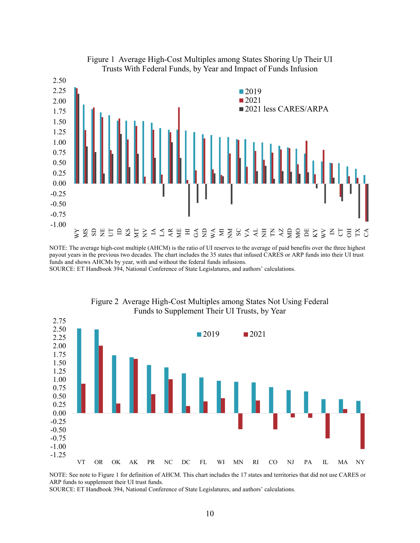

Figure 1 Average High-Cost Multiples among States Shoring Up Their UI Trusts With Federal Funds, by Year and Impact of Funds Infusion

NOTE: The average high-cost multiple (AHCM) is the ratio of UI reserves to the average of paid benefits over the three highest payout years in the previous two decades. The chart includes the 35 states that infused CARES or ARP funds into their UI trust funds and shows AHCMs by year, with and without the federal funds infusions.

SOURCE: ET Handbook 394, National Conference of State Legislatures, and authors' calculations.



Figure 2 Average High-Cost Multiples among States Not Using Federal Funds to Supplement Their UI Trusts, by Year

NOTE: See note to Figure 1 for definition of AHCM. This chart includes the 17 states and territories that did not use CARES or ARP funds to supplement their UI trust funds.

SOURCE: ET Handbook 394, National Conference of State Legislatures, and authors' calculations.